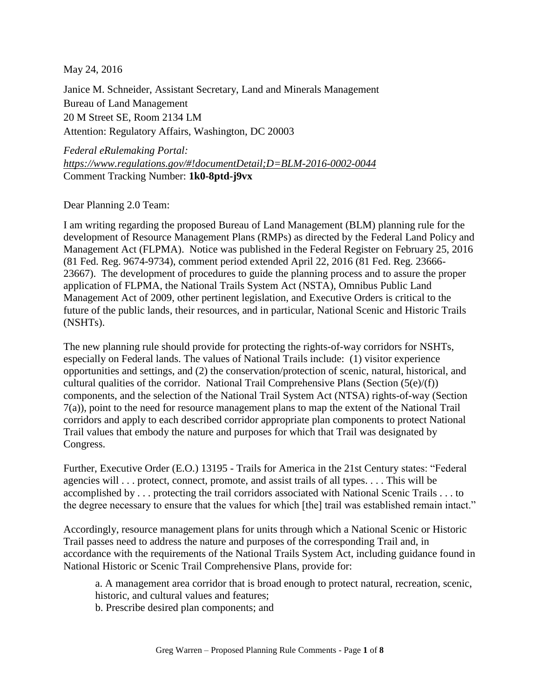May 24, 2016

Janice M. Schneider, Assistant Secretary, Land and Minerals Management Bureau of Land Management 20 M Street SE, Room 2134 LM Attention: Regulatory Affairs, Washington, DC 20003

*Federal eRulemaking Portal: [https://www.regulations.gov/#!documentDetail;D=BLM-2016-0002-0044](https://www.regulations.gov/#%21documentDetail;D=BLM-2016-0002-0044)* Comment Tracking Number: **1k0-8ptd-j9vx**

Dear Planning 2.0 Team:

I am writing regarding the proposed Bureau of Land Management (BLM) planning rule for the development of Resource Management Plans (RMPs) as directed by the Federal Land Policy and Management Act (FLPMA). Notice was published in the Federal Register on February 25, 2016 (81 Fed. Reg. 9674-9734), comment period extended April 22, 2016 (81 Fed. Reg. 23666- 23667). The development of procedures to guide the planning process and to assure the proper application of FLPMA, the National Trails System Act (NSTA), Omnibus Public Land Management Act of 2009, other pertinent legislation, and Executive Orders is critical to the future of the public lands, their resources, and in particular, National Scenic and Historic Trails (NSHTs).

The new planning rule should provide for protecting the rights-of-way corridors for NSHTs, especially on Federal lands. The values of National Trails include: (1) visitor experience opportunities and settings, and (2) the conservation/protection of scenic, natural, historical, and cultural qualities of the corridor. National Trail Comprehensive Plans (Section  $(5(e)/(f))$ ) components, and the selection of the National Trail System Act (NTSA) rights-of-way (Section 7(a)), point to the need for resource management plans to map the extent of the National Trail corridors and apply to each described corridor appropriate plan components to protect National Trail values that embody the nature and purposes for which that Trail was designated by Congress.

Further, Executive Order (E.O.) 13195 - Trails for America in the 21st Century states: "Federal agencies will . . . protect, connect, promote, and assist trails of all types. . . . This will be accomplished by . . . protecting the trail corridors associated with National Scenic Trails . . . to the degree necessary to ensure that the values for which [the] trail was established remain intact."

Accordingly, resource management plans for units through which a National Scenic or Historic Trail passes need to address the nature and purposes of the corresponding Trail and, in accordance with the requirements of the National Trails System Act, including guidance found in National Historic or Scenic Trail Comprehensive Plans, provide for:

a. A management area corridor that is broad enough to protect natural, recreation, scenic, historic, and cultural values and features;

b. Prescribe desired plan components; and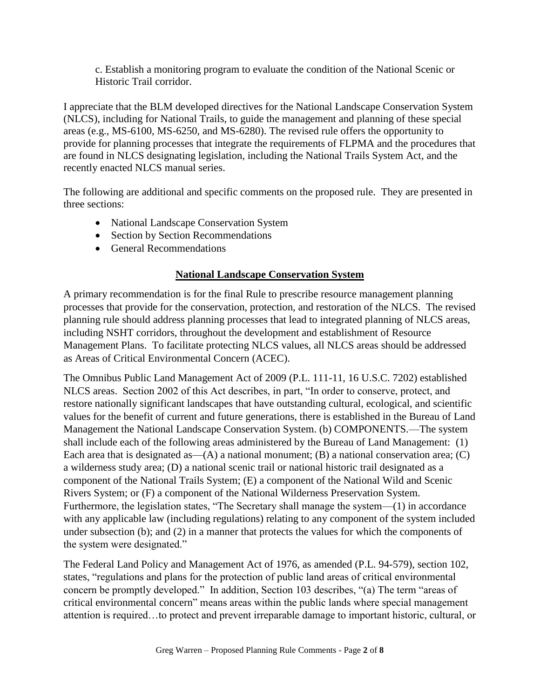c. Establish a monitoring program to evaluate the condition of the National Scenic or Historic Trail corridor.

I appreciate that the BLM developed directives for the National Landscape Conservation System (NLCS), including for National Trails, to guide the management and planning of these special areas (e.g., MS-6100, MS-6250, and MS-6280). The revised rule offers the opportunity to provide for planning processes that integrate the requirements of FLPMA and the procedures that are found in NLCS designating legislation, including the National Trails System Act, and the recently enacted NLCS manual series.

The following are additional and specific comments on the proposed rule. They are presented in three sections:

- National Landscape Conservation System
- Section by Section Recommendations
- General Recommendations

#### **National Landscape Conservation System**

A primary recommendation is for the final Rule to prescribe resource management planning processes that provide for the conservation, protection, and restoration of the NLCS. The revised planning rule should address planning processes that lead to integrated planning of NLCS areas, including NSHT corridors, throughout the development and establishment of Resource Management Plans. To facilitate protecting NLCS values, all NLCS areas should be addressed as Areas of Critical Environmental Concern (ACEC).

The Omnibus Public Land Management Act of 2009 (P.L. 111-11, 16 U.S.C. 7202) established NLCS areas. Section 2002 of this Act describes, in part, "In order to conserve, protect, and restore nationally significant landscapes that have outstanding cultural, ecological, and scientific values for the benefit of current and future generations, there is established in the Bureau of Land Management the National Landscape Conservation System. (b) COMPONENTS.—The system shall include each of the following areas administered by the Bureau of Land Management: (1) Each area that is designated as— $(A)$  a national monument;  $(B)$  a national conservation area;  $(C)$ a wilderness study area; (D) a national scenic trail or national historic trail designated as a component of the National Trails System; (E) a component of the National Wild and Scenic Rivers System; or (F) a component of the National Wilderness Preservation System. Furthermore, the legislation states, "The Secretary shall manage the system—(1) in accordance with any applicable law (including regulations) relating to any component of the system included under subsection (b); and (2) in a manner that protects the values for which the components of the system were designated."

The Federal Land Policy and Management Act of 1976, as amended (P.L. 94-579), section 102, states, "regulations and plans for the protection of public land areas of critical environmental concern be promptly developed." In addition, Section 103 describes, "(a) The term "areas of critical environmental concern" means areas within the public lands where special management attention is required…to protect and prevent irreparable damage to important historic, cultural, or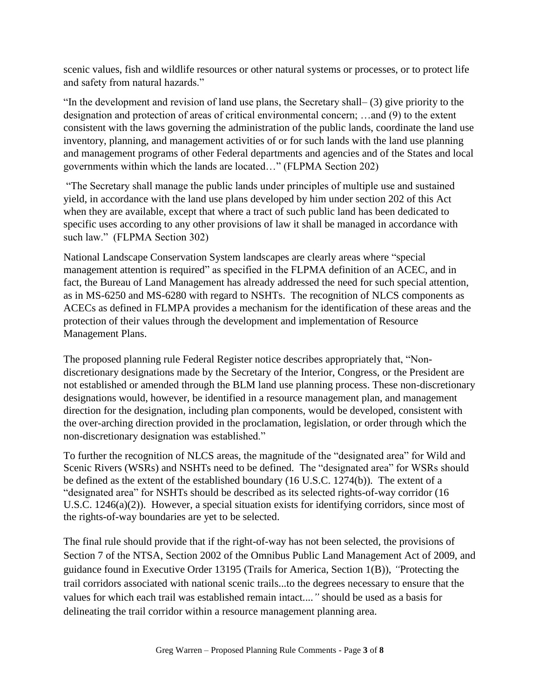scenic values, fish and wildlife resources or other natural systems or processes, or to protect life and safety from natural hazards."

"In the development and revision of land use plans, the Secretary shall– (3) give priority to the designation and protection of areas of critical environmental concern; …and (9) to the extent consistent with the laws governing the administration of the public lands, coordinate the land use inventory, planning, and management activities of or for such lands with the land use planning and management programs of other Federal departments and agencies and of the States and local governments within which the lands are located…" (FLPMA Section 202)

"The Secretary shall manage the public lands under principles of multiple use and sustained yield, in accordance with the land use plans developed by him under section 202 of this Act when they are available, except that where a tract of such public land has been dedicated to specific uses according to any other provisions of law it shall be managed in accordance with such law." (FLPMA Section 302)

National Landscape Conservation System landscapes are clearly areas where "special management attention is required" as specified in the FLPMA definition of an ACEC, and in fact, the Bureau of Land Management has already addressed the need for such special attention, as in MS-6250 and MS-6280 with regard to NSHTs. The recognition of NLCS components as ACECs as defined in FLMPA provides a mechanism for the identification of these areas and the protection of their values through the development and implementation of Resource Management Plans.

The proposed planning rule Federal Register notice describes appropriately that, "Nondiscretionary designations made by the Secretary of the Interior, Congress, or the President are not established or amended through the BLM land use planning process. These non-discretionary designations would, however, be identified in a resource management plan, and management direction for the designation, including plan components, would be developed, consistent with the over-arching direction provided in the proclamation, legislation, or order through which the non-discretionary designation was established."

To further the recognition of NLCS areas, the magnitude of the "designated area" for Wild and Scenic Rivers (WSRs) and NSHTs need to be defined. The "designated area" for WSRs should be defined as the extent of the established boundary (16 U.S.C. 1274(b)). The extent of a "designated area" for NSHTs should be described as its selected rights-of-way corridor (16 U.S.C. 1246(a)(2)). However, a special situation exists for identifying corridors, since most of the rights-of-way boundaries are yet to be selected.

The final rule should provide that if the right-of-way has not been selected, the provisions of Section 7 of the NTSA, Section 2002 of the Omnibus Public Land Management Act of 2009, and guidance found in Executive Order 13195 (Trails for America, Section 1(B)), *"*Protecting the trail corridors associated with national scenic trails...to the degrees necessary to ensure that the values for which each trail was established remain intact....*"* should be used as a basis for delineating the trail corridor within a resource management planning area.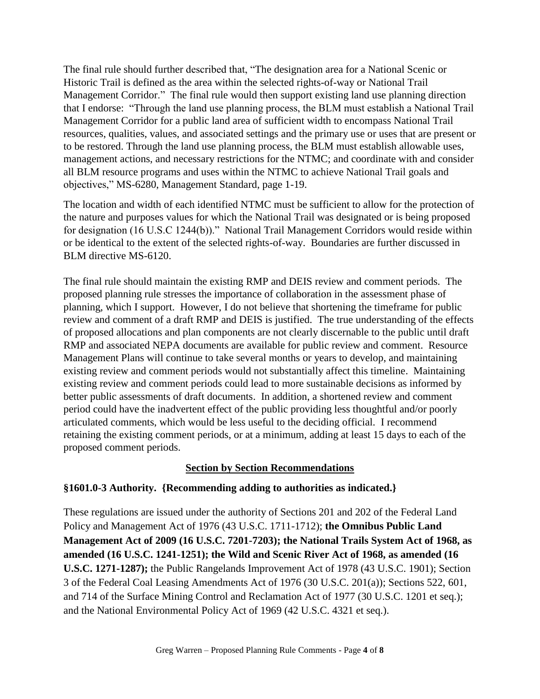The final rule should further described that, "The designation area for a National Scenic or Historic Trail is defined as the area within the selected rights-of-way or National Trail Management Corridor." The final rule would then support existing land use planning direction that I endorse: "Through the land use planning process, the BLM must establish a National Trail Management Corridor for a public land area of sufficient width to encompass National Trail resources, qualities, values, and associated settings and the primary use or uses that are present or to be restored. Through the land use planning process, the BLM must establish allowable uses, management actions, and necessary restrictions for the NTMC; and coordinate with and consider all BLM resource programs and uses within the NTMC to achieve National Trail goals and objectives," MS-6280, Management Standard, page 1-19.

The location and width of each identified NTMC must be sufficient to allow for the protection of the nature and purposes values for which the National Trail was designated or is being proposed for designation (16 U.S.C 1244(b))." National Trail Management Corridors would reside within or be identical to the extent of the selected rights-of-way. Boundaries are further discussed in BLM directive MS-6120.

The final rule should maintain the existing RMP and DEIS review and comment periods. The proposed planning rule stresses the importance of collaboration in the assessment phase of planning, which I support. However, I do not believe that shortening the timeframe for public review and comment of a draft RMP and DEIS is justified. The true understanding of the effects of proposed allocations and plan components are not clearly discernable to the public until draft RMP and associated NEPA documents are available for public review and comment. Resource Management Plans will continue to take several months or years to develop, and maintaining existing review and comment periods would not substantially affect this timeline. Maintaining existing review and comment periods could lead to more sustainable decisions as informed by better public assessments of draft documents. In addition, a shortened review and comment period could have the inadvertent effect of the public providing less thoughtful and/or poorly articulated comments, which would be less useful to the deciding official. I recommend retaining the existing comment periods, or at a minimum, adding at least 15 days to each of the proposed comment periods.

#### **Section by Section Recommendations**

#### **§1601.0-3 Authority. {Recommending adding to authorities as indicated.}**

These regulations are issued under the authority of Sections 201 and 202 of the Federal Land Policy and Management Act of 1976 (43 U.S.C. 1711-1712); **the Omnibus Public Land Management Act of 2009 (16 U.S.C. 7201-7203); the National Trails System Act of 1968, as amended (16 U.S.C. 1241-1251); the Wild and Scenic River Act of 1968, as amended (16 U.S.C. 1271-1287);** the Public Rangelands Improvement Act of 1978 (43 U.S.C. 1901); Section 3 of the Federal Coal Leasing Amendments Act of 1976 (30 U.S.C. 201(a)); Sections 522, 601, and 714 of the Surface Mining Control and Reclamation Act of 1977 (30 U.S.C. 1201 et seq.); and the National Environmental Policy Act of 1969 (42 U.S.C. 4321 et seq.).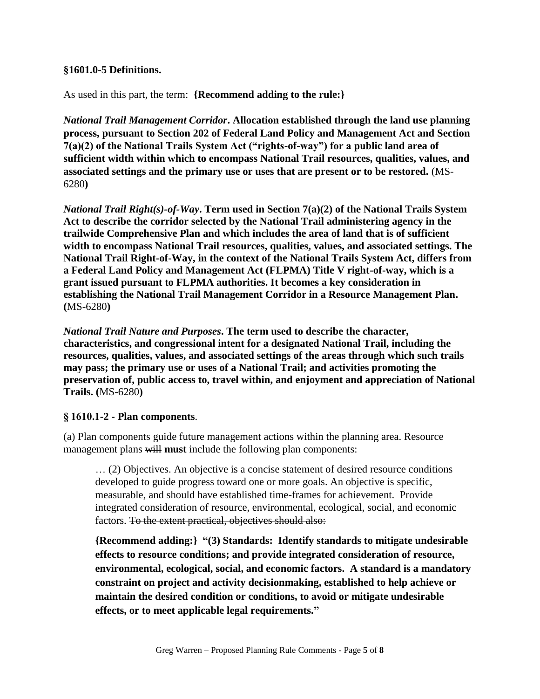#### **§1601.0-5 Definitions.**

As used in this part, the term: **{Recommend adding to the rule:}** 

*National Trail Management Corridor***. Allocation established through the land use planning process, pursuant to Section 202 of Federal Land Policy and Management Act and Section 7(a)(2) of the National Trails System Act ("rights-of-way") for a public land area of sufficient width within which to encompass National Trail resources, qualities, values, and associated settings and the primary use or uses that are present or to be restored.** (MS-6280**)**

*National Trail Right(s)-of-Way***. Term used in Section 7(a)(2) of the National Trails System Act to describe the corridor selected by the National Trail administering agency in the trailwide Comprehensive Plan and which includes the area of land that is of sufficient width to encompass National Trail resources, qualities, values, and associated settings. The National Trail Right-of-Way, in the context of the National Trails System Act, differs from a Federal Land Policy and Management Act (FLPMA) Title V right-of-way, which is a grant issued pursuant to FLPMA authorities. It becomes a key consideration in establishing the National Trail Management Corridor in a Resource Management Plan. (**MS-6280**)**

*National Trail Nature and Purposes***. The term used to describe the character, characteristics, and congressional intent for a designated National Trail, including the resources, qualities, values, and associated settings of the areas through which such trails may pass; the primary use or uses of a National Trail; and activities promoting the preservation of, public access to, travel within, and enjoyment and appreciation of National Trails. (**MS-6280**)**

#### **§ 1610.1-2 - Plan components**.

(a) Plan components guide future management actions within the planning area. Resource management plans will **must** include the following plan components:

… (2) Objectives. An objective is a concise statement of desired resource conditions developed to guide progress toward one or more goals. An objective is specific, measurable, and should have established time-frames for achievement. Provide integrated consideration of resource, environmental, ecological, social, and economic factors. To the extent practical, objectives should also:

**{Recommend adding:} "(3) Standards: Identify standards to mitigate undesirable effects to resource conditions; and provide integrated consideration of resource, environmental, ecological, social, and economic factors. A standard is a mandatory constraint on project and activity decisionmaking, established to help achieve or maintain the desired condition or conditions, to avoid or mitigate undesirable effects, or to meet applicable legal requirements."**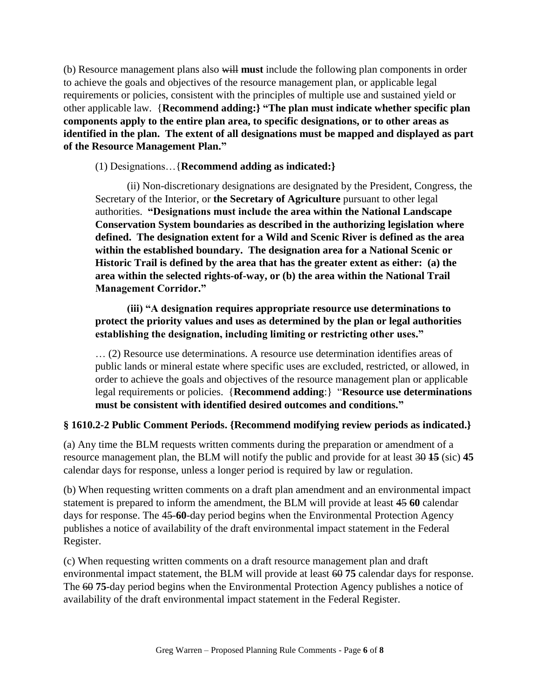(b) Resource management plans also will **must** include the following plan components in order to achieve the goals and objectives of the resource management plan, or applicable legal requirements or policies, consistent with the principles of multiple use and sustained yield or other applicable law. {**Recommend adding:} "The plan must indicate whether specific plan components apply to the entire plan area, to specific designations, or to other areas as identified in the plan. The extent of all designations must be mapped and displayed as part of the Resource Management Plan."**

(1) Designations…{**Recommend adding as indicated:}**

(ii) Non-discretionary designations are designated by the President, Congress, the Secretary of the Interior, or **the Secretary of Agriculture** pursuant to other legal authorities. **"Designations must include the area within the National Landscape Conservation System boundaries as described in the authorizing legislation where defined. The designation extent for a Wild and Scenic River is defined as the area within the established boundary. The designation area for a National Scenic or Historic Trail is defined by the area that has the greater extent as either: (a) the area within the selected rights-of-way, or (b) the area within the National Trail Management Corridor."**

**(iii) "A designation requires appropriate resource use determinations to protect the priority values and uses as determined by the plan or legal authorities establishing the designation, including limiting or restricting other uses."**

… (2) Resource use determinations. A resource use determination identifies areas of public lands or mineral estate where specific uses are excluded, restricted, or allowed, in order to achieve the goals and objectives of the resource management plan or applicable legal requirements or policies. {**Recommend adding**:} "**Resource use determinations must be consistent with identified desired outcomes and conditions."**

#### **§ 1610.2-2 Public Comment Periods. {Recommend modifying review periods as indicated.}**

(a) Any time the BLM requests written comments during the preparation or amendment of a resource management plan, the BLM will notify the public and provide for at least 30 **15** (sic) **45** calendar days for response, unless a longer period is required by law or regulation.

(b) When requesting written comments on a draft plan amendment and an environmental impact statement is prepared to inform the amendment, the BLM will provide at least 45 **60** calendar days for response. The 45-**60**-day period begins when the Environmental Protection Agency publishes a notice of availability of the draft environmental impact statement in the Federal Register.

(c) When requesting written comments on a draft resource management plan and draft environmental impact statement, the BLM will provide at least 60 **75** calendar days for response. The 60 **75**-day period begins when the Environmental Protection Agency publishes a notice of availability of the draft environmental impact statement in the Federal Register.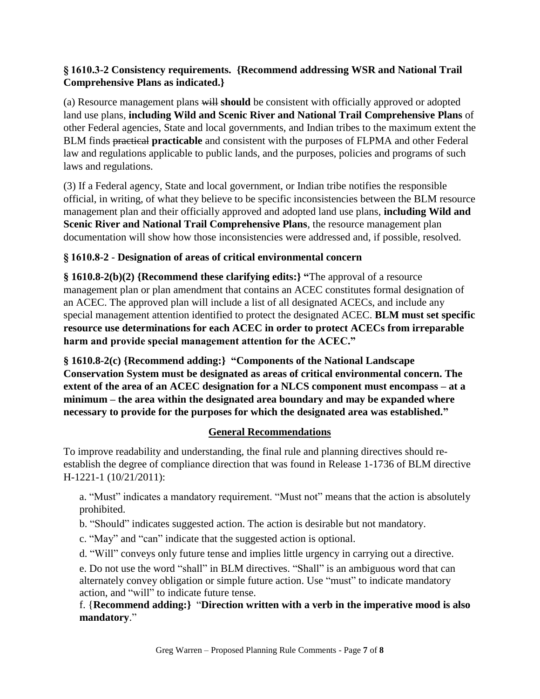### **§ 1610.3-2 Consistency requirements. {Recommend addressing WSR and National Trail Comprehensive Plans as indicated.}**

(a) Resource management plans will **should** be consistent with officially approved or adopted land use plans, **including Wild and Scenic River and National Trail Comprehensive Plans** of other Federal agencies, State and local governments, and Indian tribes to the maximum extent the BLM finds practical **practicable** and consistent with the purposes of FLPMA and other Federal law and regulations applicable to public lands, and the purposes, policies and programs of such laws and regulations.

(3) If a Federal agency, State and local government, or Indian tribe notifies the responsible official, in writing, of what they believe to be specific inconsistencies between the BLM resource management plan and their officially approved and adopted land use plans, **including Wild and Scenic River and National Trail Comprehensive Plans**, the resource management plan documentation will show how those inconsistencies were addressed and, if possible, resolved.

## **§ 1610.8-2** - **Designation of areas of critical environmental concern**

**§ 1610.8-2(b)(2) {Recommend these clarifying edits:} "**The approval of a resource management plan or plan amendment that contains an ACEC constitutes formal designation of an ACEC. The approved plan will include a list of all designated ACECs, and include any special management attention identified to protect the designated ACEC. **BLM must set specific resource use determinations for each ACEC in order to protect ACECs from irreparable harm and provide special management attention for the ACEC."**

**§ 1610.8-2(c) {Recommend adding:} "Components of the National Landscape Conservation System must be designated as areas of critical environmental concern. The extent of the area of an ACEC designation for a NLCS component must encompass – at a minimum – the area within the designated area boundary and may be expanded where necessary to provide for the purposes for which the designated area was established."**

## **General Recommendations**

To improve readability and understanding, the final rule and planning directives should reestablish the degree of compliance direction that was found in Release 1-1736 of BLM directive H-1221-1 (10/21/2011):

a. "Must" indicates a mandatory requirement. "Must not" means that the action is absolutely prohibited.

b. "Should" indicates suggested action. The action is desirable but not mandatory.

c. "May" and "can" indicate that the suggested action is optional.

d. "Will" conveys only future tense and implies little urgency in carrying out a directive.

e. Do not use the word "shall" in BLM directives. "Shall" is an ambiguous word that can alternately convey obligation or simple future action. Use "must" to indicate mandatory action, and "will" to indicate future tense.

f. {**Recommend adding:}** "**Direction written with a verb in the imperative mood is also mandatory**."